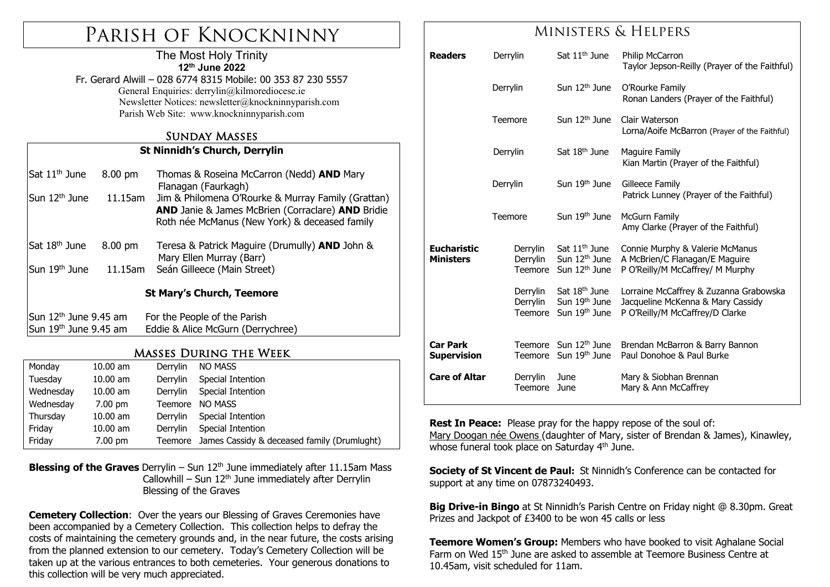## Parish of Knockninny

#### The Most Holy Trinity **12th June 2022**

Fr. Gerard Alwill – 028 6774 8315 Mobile: 00 353 87 230 5557 General Enquiries: derrylin@kilmorediocese.ie Newsletter Notices: newsletter@knockninnyparish.com Parish Web Site: www.knockninnyparish.com

#### Sunday Masses

#### **St Ninnidh's Church, Derrylin**

| Sat 11 <sup>th</sup> June        | 8.00 pm | Thomas & Roseina McCarron (Nedd) AND Mary<br>Flanagan (Faurkagh)<br>Jim & Philomena O'Rourke & Murray Family (Grattan)<br>AND Janie & James McBrien (Corraclare) AND Bridie<br>Roth née McManus (New York) & deceased family |  |  |  |  |
|----------------------------------|---------|------------------------------------------------------------------------------------------------------------------------------------------------------------------------------------------------------------------------------|--|--|--|--|
| Sun 12 <sup>th</sup> June        | 11.15am |                                                                                                                                                                                                                              |  |  |  |  |
| Sat 18 <sup>th</sup> June        | 8.00 pm | Teresa & Patrick Maguire (Drumully) <b>AND</b> John &<br>Mary Ellen Murray (Barr)                                                                                                                                            |  |  |  |  |
| Sun 19 <sup>th</sup> June        | 11.15am | Seán Gilleece (Main Street)                                                                                                                                                                                                  |  |  |  |  |
| <b>St Mary's Church, Teemore</b> |         |                                                                                                                                                                                                                              |  |  |  |  |
| Sun $12th$ June 9.45 am          |         | For the People of the Parish                                                                                                                                                                                                 |  |  |  |  |
| Sun 19th June 9.45 am            |         | Eddie & Alice McGurn (Derrychree)                                                                                                                                                                                            |  |  |  |  |
|                                  |         |                                                                                                                                                                                                                              |  |  |  |  |

#### Masses During the Week

| Monday    | $10.00$ am        | Derrylin | <b>NO MASS</b>                                      |
|-----------|-------------------|----------|-----------------------------------------------------|
| Tuesday   | $10.00$ am        | Derrylin | Special Intention                                   |
| Wednesday | $10.00$ am        | Derrylin | Special Intention                                   |
| Wednesday | $7.00 \text{ pm}$ | Teemore  | <b>NO MASS</b>                                      |
| Thursday  | $10.00$ am        | Derrylin | Special Intention                                   |
| Friday    | $10.00$ am        | Derrylin | Special Intention                                   |
| Friday    | 7.00 pm           |          | Teemore James Cassidy & deceased family (Drumlught) |

#### **Blessing of the Graves** Derrylin – Sun 12<sup>th</sup> June immediately after 11.15am Mass Callowhill – Sun  $12<sup>th</sup>$  June immediately after Derrylin Blessing of the Graves

**Cemetery Collection**: Over the years our Blessing of Graves Ceremonies have been accompanied by a Cemetery Collection. This collection helps to defray the costs of maintaining the cemetery grounds and, in the near future, the costs arising from the planned extension to our cemetery. Today's Cemetery Collection will be taken up at the various entrances to both cemeteries. Your generous donations to this collection will be very much appreciated.

## Ministers & Helpers

| <b>Readers</b>                         | Derrylin                        | Sat 11 <sup>th</sup> June                                                           | Philip McCarron<br>Taylor Jepson-Reilly (Prayer of the Faithful)                                               |
|----------------------------------------|---------------------------------|-------------------------------------------------------------------------------------|----------------------------------------------------------------------------------------------------------------|
|                                        | Derrylin                        | Sun 12 <sup>th</sup> June                                                           | O'Rourke Family<br>Ronan Landers (Prayer of the Faithful)                                                      |
|                                        | Teemore                         | Sun $12th$ June                                                                     | Clair Waterson<br>Lorna/Aoife McBarron (Prayer of the Faithful)                                                |
|                                        | Derrylin                        | Sat 18 <sup>th</sup> June                                                           | Maguire Family<br>Kian Martin (Prayer of the Faithful)                                                         |
|                                        | Derrylin                        | Sun 19 <sup>th</sup> June                                                           | Gilleece Family<br>Patrick Lunney (Prayer of the Faithful)                                                     |
|                                        | Teemore                         | Sun 19th June                                                                       | <b>McGurn Family</b><br>Amy Clarke (Prayer of the Faithful)                                                    |
| <b>Eucharistic</b><br><b>Ministers</b> | Derrylin<br>Derrylin<br>Teemore | Sat 11 <sup>th</sup> June<br>Sun 12 <sup>th</sup> June<br>Sun 12 <sup>th</sup> June | Connie Murphy & Valerie McManus<br>A McBrien/C Flanagan/E Maguire<br>P O'Reilly/M McCaffrey/ M Murphy          |
|                                        | Derrylin<br>Derrylin<br>Teemore | Sat 18 <sup>th</sup> June<br>Sun 19 <sup>th</sup> June<br>Sun 19 <sup>th</sup> June | Lorraine McCaffrey & Zuzanna Grabowska<br>Jacqueline McKenna & Mary Cassidy<br>P O'Reilly/M McCaffrey/D Clarke |
| <b>Car Park</b><br>Supervision         | <b>Teemore</b>                  | Teemore Sun 12 <sup>th</sup> June<br>Sun 19 <sup>th</sup> June                      | Brendan McBarron & Barry Bannon<br>Paul Donohoe & Paul Burke                                                   |
| <b>Care of Altar</b>                   | Derrylin<br><b>Teemore</b>      | June<br>June                                                                        | Mary & Siobhan Brennan<br>Mary & Ann McCaffrey                                                                 |

**Rest In Peace:** Please pray for the happy repose of the soul of: Mary Doogan née Owens (daughter of Mary, sister of Brendan & James), Kinawley, whose funeral took place on Saturday 4<sup>th</sup> June.

**Society of St Vincent de Paul:** St Ninnidh's Conference can be contacted for support at any time on 07873240493.

**Big Drive-in Bingo** at St Ninnidh's Parish Centre on Friday night @ 8.30pm. Great Prizes and Jackpot of £3400 to be won 45 calls or less

**Teemore Women's Group:** Members who have booked to visit Aghalane Social Farm on Wed 15<sup>th</sup> June are asked to assemble at Teemore Business Centre at 10.45am, visit scheduled for 11am.